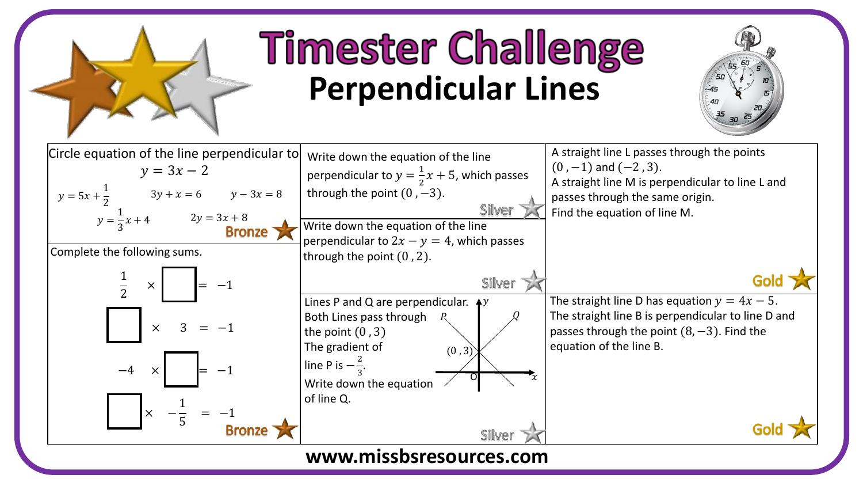

## **Timester Challenge Perpendicular Lines**